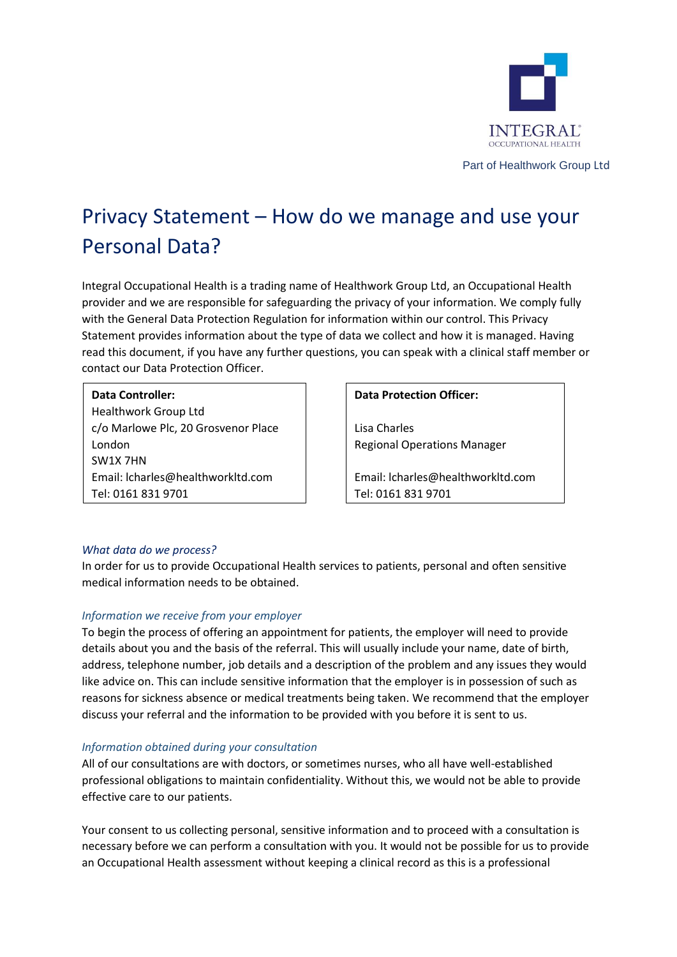

Part of Healthwork Group Ltd

# Privacy Statement – How do we manage and use your Personal Data?

Integral Occupational Health is a trading name of Healthwork Group Ltd, an Occupational Health provider and we are responsible for safeguarding the privacy of your information. We comply fully with the General Data Protection Regulation for information within our control. This Privacy Statement provides information about the type of data we collect and how it is managed. Having read this document, if you have any further questions, you can speak with a clinical staff member or contact our Data Protection Officer.

# **Data Controller:**

Healthwork Group Ltd c/o Marlowe Plc, 20 Grosvenor Place London SW1X 7HN Email: lcharles@healthworkltd.com Tel: 0161 831 9701

## **Data Protection Officer:**

Lisa Charles Regional Operations Manager

Email: lcharles@healthworkltd.com Tel: 0161 831 9701

# *What data do we process?*

In order for us to provide Occupational Health services to patients, personal and often sensitive medical information needs to be obtained.

# *Information we receive from your employer*

To begin the process of offering an appointment for patients, the employer will need to provide details about you and the basis of the referral. This will usually include your name, date of birth, address, telephone number, job details and a description of the problem and any issues they would like advice on. This can include sensitive information that the employer is in possession of such as reasons for sickness absence or medical treatments being taken. We recommend that the employer discuss your referral and the information to be provided with you before it is sent to us.

# *Information obtained during your consultation*

All of our consultations are with doctors, or sometimes nurses, who all have well-established professional obligations to maintain confidentiality. Without this, we would not be able to provide effective care to our patients.

Your consent to us collecting personal, sensitive information and to proceed with a consultation is necessary before we can perform a consultation with you. It would not be possible for us to provide an Occupational Health assessment without keeping a clinical record as this is a professional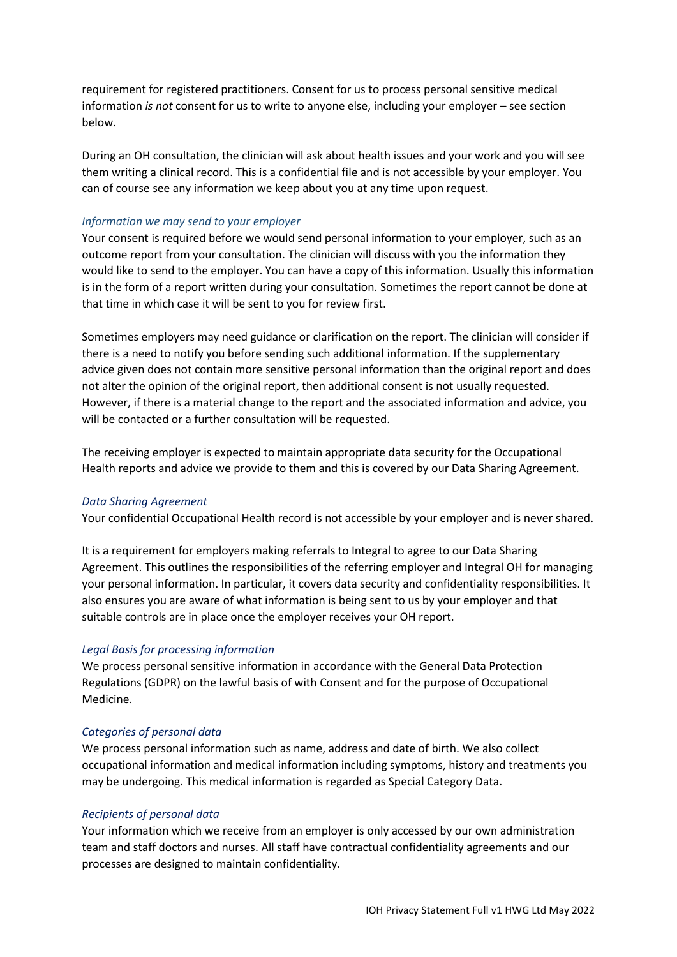requirement for registered practitioners. Consent for us to process personal sensitive medical information *is not* consent for us to write to anyone else, including your employer – see section below.

During an OH consultation, the clinician will ask about health issues and your work and you will see them writing a clinical record. This is a confidential file and is not accessible by your employer. You can of course see any information we keep about you at any time upon request.

# *Information we may send to your employer*

Your consent is required before we would send personal information to your employer, such as an outcome report from your consultation. The clinician will discuss with you the information they would like to send to the employer. You can have a copy of this information. Usually this information is in the form of a report written during your consultation. Sometimes the report cannot be done at that time in which case it will be sent to you for review first.

Sometimes employers may need guidance or clarification on the report. The clinician will consider if there is a need to notify you before sending such additional information. If the supplementary advice given does not contain more sensitive personal information than the original report and does not alter the opinion of the original report, then additional consent is not usually requested. However, if there is a material change to the report and the associated information and advice, you will be contacted or a further consultation will be requested.

The receiving employer is expected to maintain appropriate data security for the Occupational Health reports and advice we provide to them and this is covered by our Data Sharing Agreement.

### *Data Sharing Agreement*

Your confidential Occupational Health record is not accessible by your employer and is never shared.

It is a requirement for employers making referrals to Integral to agree to our Data Sharing Agreement. This outlines the responsibilities of the referring employer and Integral OH for managing your personal information. In particular, it covers data security and confidentiality responsibilities. It also ensures you are aware of what information is being sent to us by your employer and that suitable controls are in place once the employer receives your OH report.

### *Legal Basis for processing information*

We process personal sensitive information in accordance with the General Data Protection Regulations (GDPR) on the lawful basis of with Consent and for the purpose of Occupational Medicine.

#### *Categories of personal data*

We process personal information such as name, address and date of birth. We also collect occupational information and medical information including symptoms, history and treatments you may be undergoing. This medical information is regarded as Special Category Data.

## *Recipients of personal data*

Your information which we receive from an employer is only accessed by our own administration team and staff doctors and nurses. All staff have contractual confidentiality agreements and our processes are designed to maintain confidentiality.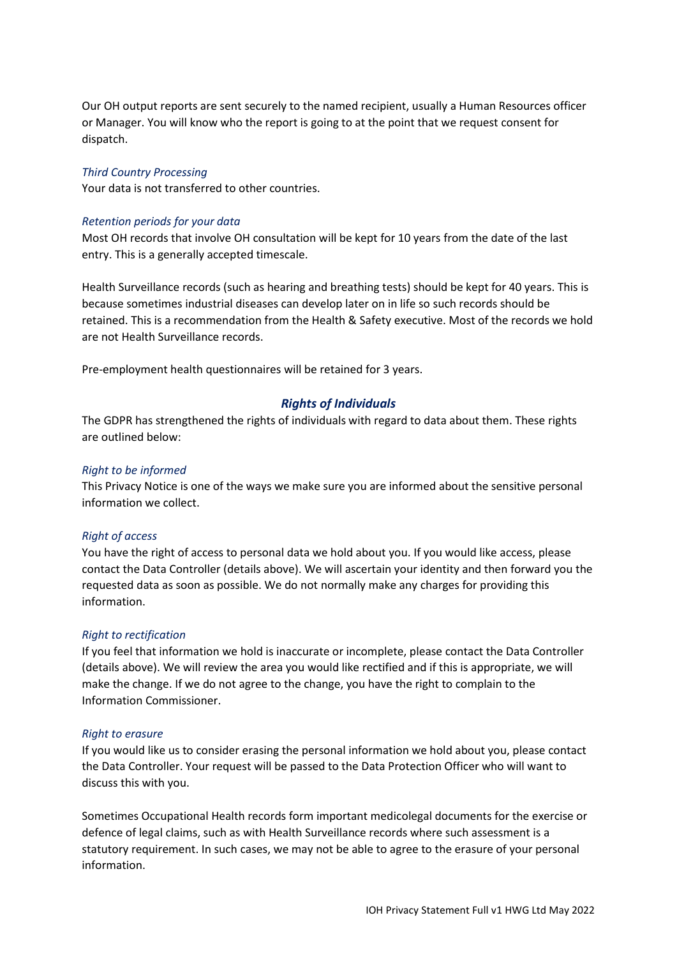Our OH output reports are sent securely to the named recipient, usually a Human Resources officer or Manager. You will know who the report is going to at the point that we request consent for dispatch.

## *Third Country Processing*

Your data is not transferred to other countries.

## *Retention periods for your data*

Most OH records that involve OH consultation will be kept for 10 years from the date of the last entry. This is a generally accepted timescale.

Health Surveillance records (such as hearing and breathing tests) should be kept for 40 years. This is because sometimes industrial diseases can develop later on in life so such records should be retained. This is a recommendation from the Health & Safety executive. Most of the records we hold are not Health Surveillance records.

Pre-employment health questionnaires will be retained for 3 years.

# *Rights of Individuals*

The GDPR has strengthened the rights of individuals with regard to data about them. These rights are outlined below:

# *Right to be informed*

This Privacy Notice is one of the ways we make sure you are informed about the sensitive personal information we collect.

### *Right of access*

You have the right of access to personal data we hold about you. If you would like access, please contact the Data Controller (details above). We will ascertain your identity and then forward you the requested data as soon as possible. We do not normally make any charges for providing this information.

### *Right to rectification*

If you feel that information we hold is inaccurate or incomplete, please contact the Data Controller (details above). We will review the area you would like rectified and if this is appropriate, we will make the change. If we do not agree to the change, you have the right to complain to the Information Commissioner.

### *Right to erasure*

If you would like us to consider erasing the personal information we hold about you, please contact the Data Controller. Your request will be passed to the Data Protection Officer who will want to discuss this with you.

Sometimes Occupational Health records form important medicolegal documents for the exercise or defence of legal claims, such as with Health Surveillance records where such assessment is a statutory requirement. In such cases, we may not be able to agree to the erasure of your personal information.